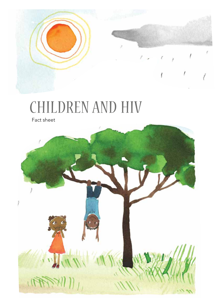# CHILDREN AND HIV

Fact sheet



Ĩ

ŗ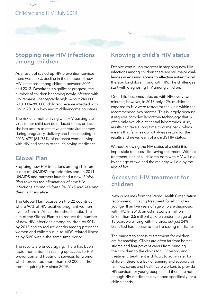### Children and HIV July 2014

#### Stopping new HIV infections among children

As a result of scaled-up HIV prevention services there was a 58% decline in the number of new HIV infections among children between 2001 and 2013. Despite this significant progress, the number of children becoming newly infected with HIV remains unacceptably high. About 240 000 [210 000–280 000] children became infected with HIV in 2013 in low- and middle-income countries.

The risk of a mother living with HIV passing the virus to her child can be reduced to 5% or less if she has access to effective antiretroviral therapy during pregnancy, delivery and breastfeeding. In 2013, 67% [61–73%] of pregnant women living with HIV had access to the life-saving medicines.

### Global Plan

Stopping new HIV infections among children age of five. is one of UNAIDS's top priorities and, in 2011, UNAIDS and partners launched a new *Global Plan towards the elimination of new HIV infections among children by 2015 and keeping their mothers alive.* 

The Global Plan focuses on the 22 countries where 90% of HIV-positive pregnant women live—21 are in Africa, the other is India. The aim of the Global Plan is to reduce the number of new HIV infections among children by 90% by 2015 and to reduce deaths among pregnant women and children due to AIDS-related illnesses by 50% within the same time period.

The results are encouraging. There has been rapid momentum in scaling up access to HIV prevention and treatment services for women, which prevented more than 900 000 children from acquiring HIV since 2009.

### Knowing a child's HIV status

Despite continuing progress in stopping new HIV infections among children there are still major challenges in ensuring access to effective antiretroviral therapy for children living with HIV. The challenges start with diagnosing HIV among children.

One child becomes infected with HIV every two minutes; however, in 2013 only 42% of children exposed to HIV were tested for the virus within the recommended two months. This is largely because it requires complex laboratory technology that is often only available at central laboratories. Also, results can take a long time to come back, which means that families do not always return for the results and never learn of a child's HIV status.

Without knowing the HIV status of a child it is impossible to access life-saving treatment. Without treatment, half of all children born with HIV will die by the age of two and the majority will die by the

### Access to HIV treatment for children

New guidelines from the World Health Organization recommend initiating treatment for all children younger than five years of age who are diagnosed with HIV. In 2013, an estimated 3.2 million [2.9 million–3.5 million] children under the age of 15 years were living with the virus, but just 24% [22–26%] had access to the life-saving medicines.

The barriers to access to treatment for children are far-reaching. Clinics are often far from home; stigma and fear prevent carers from bringing their children to the clinics for HIV testing and treatment; treatment is difficult to administer for children; there is a lack of training and support for families, carers and health-care workers to provide HIV services for young people; and there are not enough HIV medicines developed specifically for a child's needs.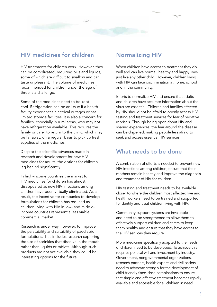

HIV treatments for children work. However, they can be complicated, requiring pills and liquids, some of which are difficult to swallow and can taste unpleasant. The volume of medicines recommended for children under the age of three is a challenge.

Some of the medicines need to be kept cool. Refrigeration can be an issue if a health facility experiences electrical outages or has limited storage facilities. It is also a concern for families, especially in rural areas, who may not have refrigeration available. This requires the family or carer to return to the clinic, which may be far away, on a regular basis to pick up fresh supplies of the medicines.

Despite the scientific advances made in research and development for new HIV medicines for adults, the options for children lag behind significantly.

In high-income countries the market for HIV medicines for children has almost disappeared as new HIV infections among children have been virtually eliminated. As a result, the incentive for companies to develop formulations for children has reduced as children living with HIV in low- and middleincome countries represent a less viable commercial market.

Research is under way, however, to improve the palatability and suitability of paediatric formulations. This includes research exploring the use of sprinkles that dissolve in the mouth rather than liquids or tablets. Although such products are not yet available they could be interesting options for the future.

#### Normalizing HIV

When children have access to treatment they do well and can live normal, healthy and happy lives, just like any other child. However, children living with HIV can face discrimination at home, school and in the community.

Efforts to normalize HIV and ensure that adults and children have accurate information about the virus are essential. Children and families affected by HIV should not be afraid to openly access HIV testing and treatment services for fear of negative reprisals. Through being open about HIV and sharing experiences, the fear around the disease can be dispelled, making people less afraid to seek and access essential HIV services.

#### What needs to be done

A combination of efforts is needed to prevent new HIV infections among children, ensure that their mothers remain healthy and improve the diagnosis and treatment of HIV for children.

HIV testing and treatment needs to be available closer to where the children most affected live and health workers need to be trained and supported to identify and treat children living with HIV.

Community support systems are invaluable and need to be strengthened to allow them to effectively support children and carers to keep them healthy and ensure that they have access to the HIV services they require.

More medicines specifically adapted to the needs of children need to be developed. To achieve this requires political will and investment by industry. Government, nongovernmental organizations, research partners, health experts and civil society need to advocate strongly for the development of child-friendly fixed-dose combinations to ensure that simple and effective treatment becomes rapidly available and accessible for all children in need.